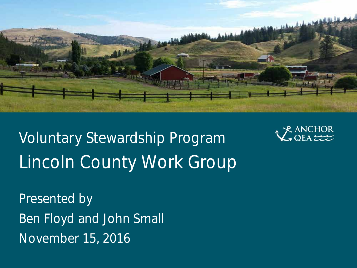

Voluntary Stewardship Program Lincoln County Work Group



Presented by Ben Floyd and John Small November 15, 2016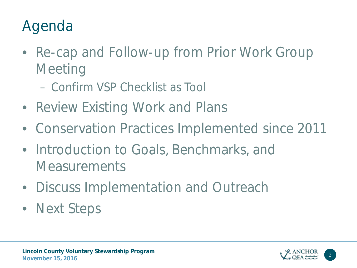## Agenda

- Re-cap and Follow-up from Prior Work Group **Meeting** 
	- Confirm VSP Checklist as Tool
- Review Existing Work and Plans
- Conservation Practices Implemented since 2011
- Introduction to Goals, Benchmarks, and **Measurements**
- Discuss Implementation and Outreach
- Next Steps

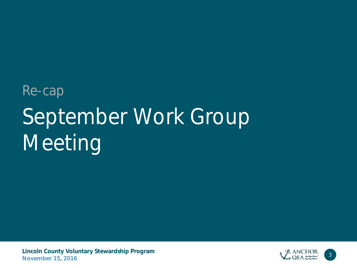# September Work Group Meeting Re-cap

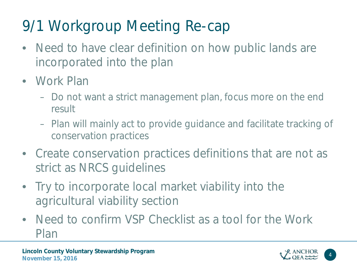# 9/1 Workgroup Meeting Re-cap

- Need to have clear definition on how public lands are incorporated into the plan
- Work Plan
	- Do not want a strict management plan, focus more on the end result
	- Plan will mainly act to provide guidance and facilitate tracking of conservation practices
- Create conservation practices definitions that are not as strict as NRCS guidelines
- Try to incorporate local market viability into the agricultural viability section
- Need to confirm VSP Checklist as a tool for the Work Plan

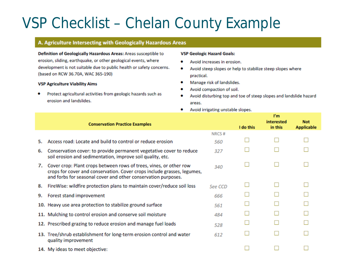#### VSP Checklist – Chelan County Example

#### A. Agriculture Intersecting with Geologically Hazardous Areas

Definition of Geologically Hazardous Areas: Areas susceptible to erosion, sliding, earthquake, or other geological events, where development is not suitable due to public health or safety concerns. (based on RCW 36.70A, WAC 365-190)

#### **VSP Agriculture Viability Aims**

Protect agricultural activities from geologic hazards such as ۰ erosion and landslides.

#### **VSP Geologic Hazard Goals:**

- ó Avoid increases in erosion.
- Avoid steep slopes or help to stabilize steep slopes where ۰ practical.
- Manage risk of landslides. ۰
- Avoid compaction of soil. ۰
- Avoid disturbing top and toe of steep slopes and landslide hazard ۰ areas.

P<sub>m</sub>

Avoid irrigating unstable slopes. ۰

|    | <b>Conservation Practice Examples</b>                                                                                                                                                                          |         | I do this | interested<br>in this | <b>Not</b><br><b>Applicable</b> |
|----|----------------------------------------------------------------------------------------------------------------------------------------------------------------------------------------------------------------|---------|-----------|-----------------------|---------------------------------|
|    |                                                                                                                                                                                                                | NRCS#   |           |                       |                                 |
| 5. | Access road: Locate and build to control or reduce erosion                                                                                                                                                     | 560     |           |                       |                                 |
| 6. | Conservation cover: to provide permanent vegetative cover to reduce<br>soil erosion and sedimentation, improve soil quality, etc.                                                                              | 327     |           |                       |                                 |
| 7. | Cover crop: Plant crops between rows of trees, vines, or other row<br>crops for cover and conservation. Cover crops include grasses, legumes,<br>and forbs for seasonal cover and other conservation purposes. | 340     |           |                       |                                 |
| 8. | FireWise: wildfire protection plans to maintain cover/reduce soil loss                                                                                                                                         | See CCD |           |                       |                                 |
| 9. | Forest stand improvement                                                                                                                                                                                       | 666     |           |                       |                                 |
|    | 10. Heavy use area protection to stabilize ground surface                                                                                                                                                      | 561     |           |                       |                                 |
|    | 11. Mulching to control erosion and conserve soil moisture                                                                                                                                                     | 484     |           |                       |                                 |
|    | 12. Prescribed grazing to reduce erosion and manage fuel loads                                                                                                                                                 | 528     |           |                       |                                 |
|    | 13. Tree/shrub establishment for long-term erosion control and water<br>quality improvement                                                                                                                    | 612     |           |                       |                                 |
|    | 14. My ideas to meet objective:                                                                                                                                                                                |         |           |                       |                                 |
|    |                                                                                                                                                                                                                |         |           |                       |                                 |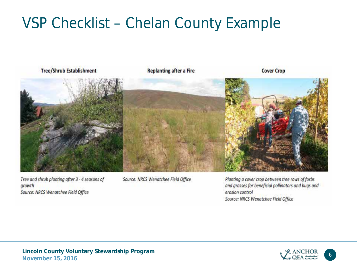#### VSP Checklist – Chelan County Example



Tree and shrub planting after 3 - 4 seasons of growth Source: NRCS Wenatchee Field Office

Source: NRCS Wenatchee Field Office

Planting a cover crop between tree rows of forbs and grasses for beneficial pollinators and bugs and erosion control Source: NRCS Wenatchee Field Office

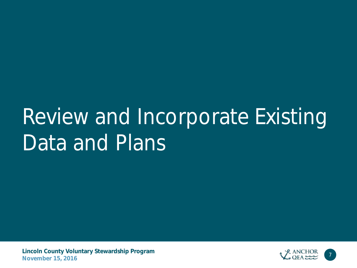# Review and Incorporate Existing Data and Plans

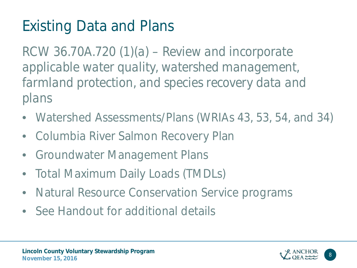# Existing Data and Plans

*RCW 36.70A.720 (1)(a) – Review and incorporate applicable water quality, watershed management, farmland protection, and species recovery data and plans*

- Watershed Assessments/Plans (WRIAs 43, 53, 54, and 34)
- Columbia River Salmon Recovery Plan
- Groundwater Management Plans
- Total Maximum Daily Loads (TMDLs)
- Natural Resource Conservation Service programs
- See Handout for additional details

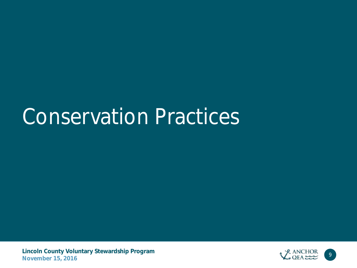# Conservation Practices

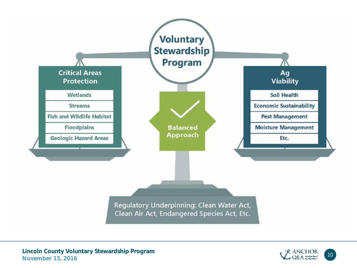

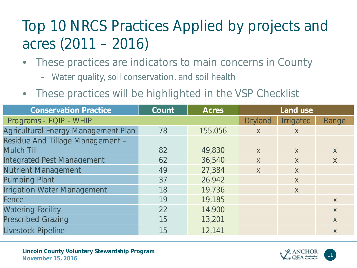## Top 10 NRCS Practices Applied by projects and acres (2011 – 2016)

- These practices are indicators to main concerns in County
	- Water quality, soil conservation, and soil health
- These practices will be highlighted in the VSP Checklist

| <b>Conservation Practice</b>        | Count | <b>Acres</b> |                |                  |              |
|-------------------------------------|-------|--------------|----------------|------------------|--------------|
| Programs - EQIP - WHIP              |       |              | <b>Dryland</b> | <b>Irrigated</b> | Range        |
| Agricultural Energy Management Plan | 78    | 155,056      | X              | $\mathsf{X}$     |              |
| Residue And Tillage Management -    |       |              |                |                  |              |
| <b>Mulch Till</b>                   | 82    | 49,830       | $\chi$         | $\chi$           | $\chi$       |
| <b>Integrated Pest Management</b>   | 62    | 36,540       | $\sf X$        | X                | X            |
| <b>Nutrient Management</b>          | 49    | 27,384       | $\sf X$        | $\mathsf{X}$     |              |
| <b>Pumping Plant</b>                | 37    | 26,942       |                | $\mathsf{X}$     |              |
| <b>Irrigation Water Management</b>  | 18    | 19,736       |                | X                |              |
| Fence                               | 19    | 19,185       |                |                  | $\mathsf{X}$ |
| <b>Watering Facility</b>            | 22    | 14,900       |                |                  | $\mathsf{X}$ |
| <b>Prescribed Grazing</b>           | 15    | 13,201       |                |                  | $\mathsf{X}$ |
| Livestock Pipeline                  | 15    | 12,141       |                |                  | X            |

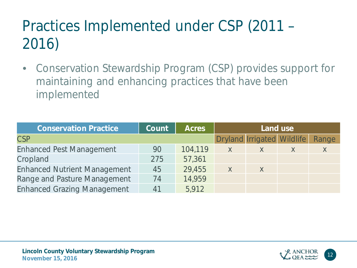# Practices Implemented under CSP (2011 – 2016)

• Conservation Stewardship Program (CSP) provides support for maintaining and enhancing practices that have been implemented

| <b>Conservation Practice</b>        | Count | <b>Acres</b> | Land use     |                                   |              |       |
|-------------------------------------|-------|--------------|--------------|-----------------------------------|--------------|-------|
| <b>CSP</b>                          |       |              |              | <b>Dryland Irrigated Wildlife</b> |              | Range |
| <b>Enhanced Pest Management</b>     | 90    | 104,119      | $\mathsf{X}$ | X                                 | $\mathsf{X}$ | X     |
| Cropland                            | 275   | 57,361       |              |                                   |              |       |
| <b>Enhanced Nutrient Management</b> | 45    | 29,455       | X            | $\sf X$                           |              |       |
| Range and Pasture Management        | 74    | 14,959       |              |                                   |              |       |
| <b>Enhanced Grazing Management</b>  | 41    | 5,912        |              |                                   |              |       |

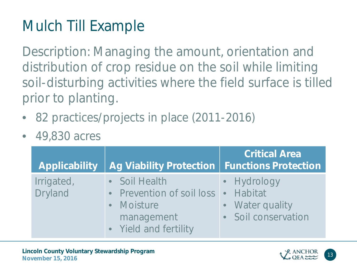# Mulch Till Example

Description: Managing the amount, orientation and distribution of crop residue on the soil while limiting soil-disturbing activities where the field surface is tilled prior to planting.

- 82 practices/projects in place (2011-2016)
- 49,830 acres

| <b>Applicability</b>  | Ag Viability Protection   Functions Protection                                                  | <b>Critical Area</b>                                                    |
|-----------------------|-------------------------------------------------------------------------------------------------|-------------------------------------------------------------------------|
| Irrigated,<br>Dryland | • Soil Health<br>• Prevention of soil loss<br>• Moisture<br>management<br>• Yield and fertility | • Hydrology<br><b>Habitat</b><br>• Water quality<br>• Soil conservation |

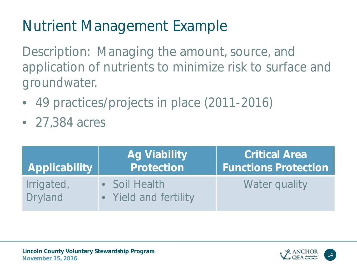# Nutrient Management Example

Description: Managing the amount, source, and application of nutrients to minimize risk to surface and groundwater.

- 49 practices/projects in place (2011-2016)
- 27,384 acres

| <b>Applicability</b>  | <b>Ag Viability</b><br>Protection      | <b>Critical Area</b><br><b>Functions Protection</b> |
|-----------------------|----------------------------------------|-----------------------------------------------------|
| Irrigated,<br>Dryland | • Soil Health<br>• Yield and fertility | Water quality                                       |

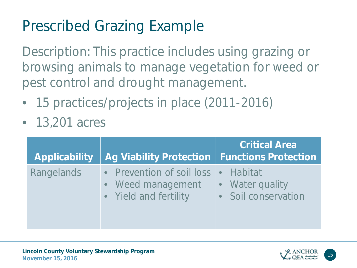### Prescribed Grazing Example

Description: This practice includes using grazing or browsing animals to manage vegetation for weed or pest control and drought management.

- 15 practices/projects in place (2011-2016)
- 13,201 acres

| <b>Applicability</b> | Ag Viability Protection   Functions Protection                                    | <b>Critical Area</b>                   |
|----------------------|-----------------------------------------------------------------------------------|----------------------------------------|
| Rangelands           | • Prevention of soil loss • Habitat<br>• Weed management<br>• Yield and fertility | • Water quality<br>• Soil conservation |

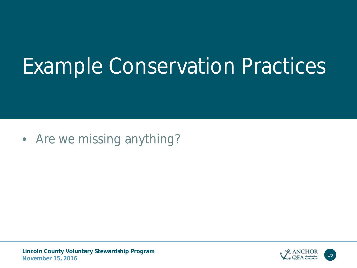# Example Conservation Practices

• Are we missing anything?

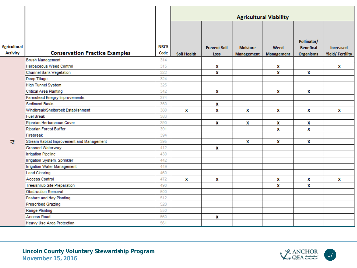|                     |                                           |             |             |                             |                                      | <b>Agricultural Viability</b> |                                      |                                            |
|---------------------|-------------------------------------------|-------------|-------------|-----------------------------|--------------------------------------|-------------------------------|--------------------------------------|--------------------------------------------|
| <b>Agricultural</b> |                                           | <b>NRCS</b> |             |                             |                                      |                               | Pollinator/                          |                                            |
| <b>Activity</b>     | <b>Conservation Practice Examples</b>     | Code        | Soil Health | <b>Prevent Soil</b><br>Loss | <b>Moisture</b><br><b>Management</b> | Weed<br>Management            | <b>Benefical</b><br><b>Organisms</b> | <b>Increased</b><br><b>Yield/Fertility</b> |
|                     | <b>Brush Management</b>                   | 314         |             |                             |                                      |                               |                                      |                                            |
|                     | <b>Herbaceous Weed Control</b>            | 315         |             | X                           |                                      | X                             |                                      | X                                          |
|                     | Channel Bank Vegetation                   | 322         |             | x                           |                                      | X                             | x                                    |                                            |
|                     | Deep Tillage                              | 324         |             |                             |                                      |                               |                                      |                                            |
|                     | <b>High Tunnel System</b>                 | 325         |             |                             |                                      |                               |                                      |                                            |
|                     | <b>Critical Area Planting</b>             | 342         |             | X                           |                                      | X                             | x                                    |                                            |
|                     | Farmstead Enegry Improvements             | 374         |             |                             |                                      |                               |                                      |                                            |
|                     | Sediment Basin                            | 350         |             | x                           |                                      |                               |                                      |                                            |
|                     | Windbreak/Shelterbelt Establishment       | 380         | X           | X                           | X                                    | X                             | x                                    | X                                          |
|                     | <b>Fuel Break</b>                         | 383         |             |                             |                                      |                               |                                      |                                            |
|                     | Riparian Herbaceous Cover                 | 390         |             | x                           | X                                    | х                             | x                                    |                                            |
|                     | Riparian Forest Buffer                    | 391         |             |                             |                                      | X                             | x                                    |                                            |
|                     | Firebreak                                 | 394         |             |                             |                                      |                               |                                      |                                            |
| ₹                   | Stream Habitat Improvement and Management | 395         |             |                             | X                                    | x                             | х                                    |                                            |
|                     | Grassed Waterway                          | 412         |             | x                           |                                      |                               |                                      |                                            |
|                     | <b>Irrigation Pipeline</b>                | 430         |             |                             |                                      |                               |                                      |                                            |
|                     | Irrigation System, Sprinkler              | 442         |             |                             |                                      |                               |                                      |                                            |
|                     | <b>Irrigation Water Management</b>        | 449         |             |                             |                                      |                               |                                      |                                            |
|                     | <b>Land Clearing</b>                      | 460         |             |                             |                                      |                               |                                      |                                            |
|                     | <b>Access Control</b>                     | 472         | X           | x                           |                                      | X                             | x                                    | x                                          |
|                     | Tree/shrub Site Preparation               | 490         |             |                             |                                      | X                             | x                                    |                                            |
|                     | <b>Obstruction Removal</b>                | 500         |             |                             |                                      |                               |                                      |                                            |
|                     | Pasture and Hay Planting                  | 512         |             |                             |                                      |                               |                                      |                                            |
|                     | <b>Prescribed Grazing</b>                 | 528         |             |                             |                                      |                               |                                      |                                            |
|                     | Range Planting                            | 550         |             |                             |                                      |                               |                                      |                                            |
|                     | Access Road                               | 560         |             | X                           |                                      |                               |                                      |                                            |
|                     | Heavy Use Area Protection                 | 561         |             |                             |                                      |                               |                                      |                                            |

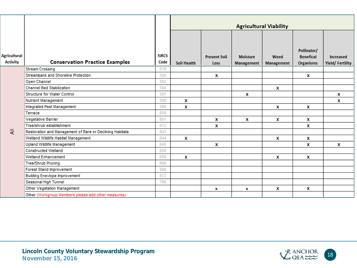|                                 |                                                          |                     | <b>Agricultural Viability</b> |                             |                                      |                                  |                                                     |                                            |
|---------------------------------|----------------------------------------------------------|---------------------|-------------------------------|-----------------------------|--------------------------------------|----------------------------------|-----------------------------------------------------|--------------------------------------------|
| Agricultural<br><b>Activity</b> | <b>Conservation Practice Examples</b>                    | <b>NRCS</b><br>Code | <b>Soil Health</b>            | <b>Prevent Soil</b><br>Loss | <b>Moisture</b><br><b>Management</b> | <b>Weed</b><br><b>Management</b> | Pollinator/<br><b>Benefical</b><br><b>Organisms</b> | <b>Increased</b><br><b>Yield/Fertility</b> |
|                                 | <b>Stream Crossing</b>                                   | 578                 |                               |                             |                                      |                                  |                                                     |                                            |
|                                 | Streambank and Shoreline Protection                      | 580                 |                               | x                           |                                      |                                  | x                                                   |                                            |
|                                 | Open Channel                                             | 582                 |                               |                             |                                      |                                  |                                                     |                                            |
|                                 | <b>Channel Bed Stabilization</b>                         | 584                 |                               |                             |                                      | X                                |                                                     |                                            |
|                                 | <b>Structure for Water Control</b>                       | 587                 |                               |                             | X                                    |                                  |                                                     | x                                          |
|                                 | Nutrient Management                                      | 590                 | X                             |                             |                                      |                                  |                                                     | X                                          |
|                                 | Integrated Pest Management                               | 595                 | X                             |                             |                                      | X                                | x                                                   |                                            |
|                                 | Terrace                                                  | 600                 |                               |                             |                                      |                                  |                                                     |                                            |
|                                 | Vegetative Barrier                                       | 601                 |                               | X                           | X                                    | x                                | x                                                   |                                            |
|                                 | Tree/shrub establishment                                 | 612                 |                               | x                           |                                      |                                  | x                                                   |                                            |
| ₹                               | Restoration and Management of Rare or Declining Habitats | 643                 |                               |                             |                                      |                                  |                                                     |                                            |
|                                 | Wetland Wildlife Habitat Management                      | 644                 | X                             |                             |                                      | x                                | x                                                   |                                            |
|                                 | <b>Upland Wildlife Management</b>                        | 645                 |                               | х                           |                                      |                                  | x                                                   | x                                          |
|                                 | <b>Constructed Wetland</b>                               | 656                 |                               |                             |                                      |                                  |                                                     |                                            |
|                                 | <b>Wetland Enhancement</b>                               | 659                 | x                             |                             |                                      | X                                | x                                                   |                                            |
|                                 | <b>Tree/Shrub Pruning</b>                                | 660                 |                               |                             |                                      |                                  |                                                     |                                            |
|                                 | Forest Stand Improvement                                 | 666                 |                               |                             |                                      |                                  |                                                     |                                            |
|                                 | <b>Building Enevlope Improvement</b>                     | 672                 |                               |                             |                                      |                                  |                                                     |                                            |
|                                 | Seasonal High Tunnel                                     | 798                 |                               |                             |                                      |                                  |                                                     |                                            |
|                                 | Other Vegetation Management                              |                     |                               | x                           | x                                    | X                                | x                                                   |                                            |
|                                 | Other (Workgroup Members please add other measures)      |                     |                               |                             |                                      |                                  |                                                     |                                            |

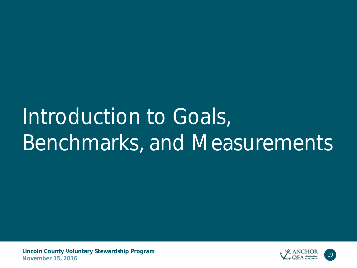# Introduction to Goals, Benchmarks, and Measurements

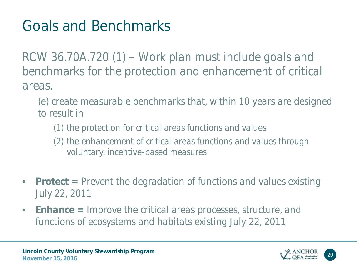## Goals and Benchmarks

*RCW 36.70A.720 (1) – Work plan must include goals and benchmarks for the protection and enhancement of critical areas.* 

- *(e) create measurable benchmarks that, within 10 years are designed to result in* 
	- *(1) the protection for critical areas functions and values*
	- *(2) the enhancement of critical areas functions and values through voluntary, incentive-based measures*
- *Protect = Prevent the degradation of functions and values existing July 22, 2011*
- *Enhance = Improve the critical areas processes, structure, and functions of ecosystems and habitats existing July 22, 2011*

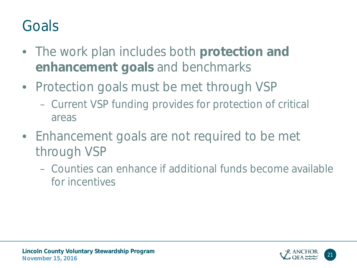### Goals

- The work plan includes both **protection and enhancement goals** and benchmarks
- Protection goals must be met through VSP
	- Current VSP funding provides for protection of critical areas
- Enhancement goals are not required to be met through VSP
	- Counties can enhance if additional funds become available for incentives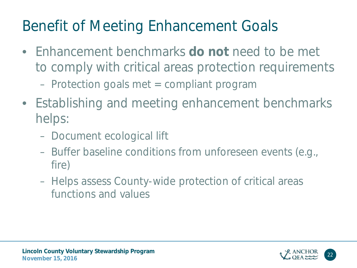### Benefit of Meeting Enhancement Goals

- Enhancement benchmarks **do not** need to be met to comply with critical areas protection requirements – Protection goals met = compliant program
- Establishing and meeting enhancement benchmarks helps:
	- Document ecological lift
	- Buffer baseline conditions from unforeseen events (e.g., fire)
	- Helps assess County-wide protection of critical areas functions and values

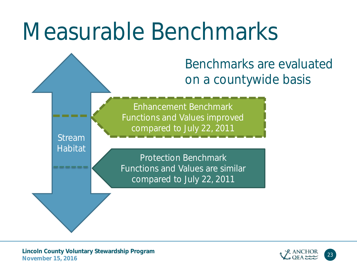# Measurable Benchmarks

Benchmarks are evaluated on a countywide basis

Enhancement Benchmark Functions and Values improved compared to July 22, 2011

Protection Benchmark Functions and Values are similar compared to July 22, 2011

Stream

**Habitat** 

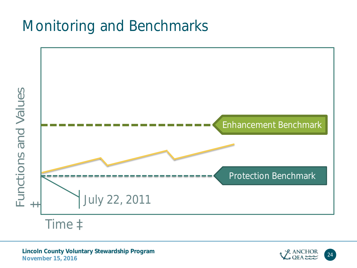#### Monitoring and Benchmarks



**Lincoln County Voluntary Stewardship Program** November 15, 2016

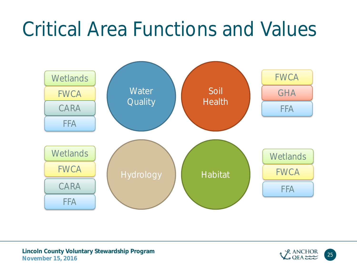# Critical Area Functions and Values



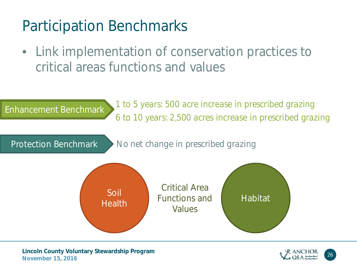#### Participation Benchmarks

• Link implementation of conservation practices to critical areas functions and values



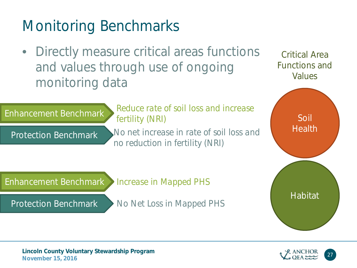## Monitoring Benchmarks

• Directly measure critical areas functions and values through use of ongoing monitoring data

*fertility (NRI)*

*No net increase in rate of soil loss and* 

*Reduce rate of soil loss and increase* 

*no reduction in fertility (NRI)*

*No Net Loss in Mapped PHS*

*Increase in Mapped PHS*

Critical Area Functions and Values





**Lincoln County Voluntary Stewardship Program November 15, 2016** 

Protection Benchmark

Protection Benchmark

Enhancement Benchmark

Enhancement Benchmark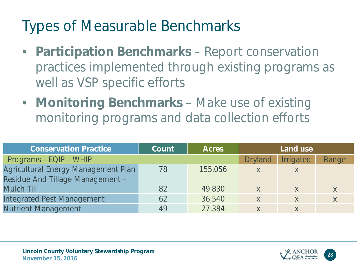### Types of Measurable Benchmarks

- **Participation Benchmarks**  Report conservation practices implemented through existing programs as well as VSP specific efforts
- **Monitoring Benchmarks**  Make use of existing monitoring programs and data collection efforts

| <b>Conservation Practice</b>        | Count | <b>Acres</b> |                | Land use  |       |
|-------------------------------------|-------|--------------|----------------|-----------|-------|
| Programs - EQIP - WHIP              |       |              | <b>Dryland</b> | Irrigated | Range |
| Agricultural Energy Management Plan | 78    | 155,056      | X              | X         |       |
| Residue And Tillage Management -    |       |              |                |           |       |
| <b>Mulch Till</b>                   | 82    | 49,830       | X              | X         | X     |
| <b>Integrated Pest Management</b>   | 62    | 36,540       | X              | X         | X     |
| <b>Nutrient Management</b>          | 49    | 27,384       | X              | $\chi$    |       |

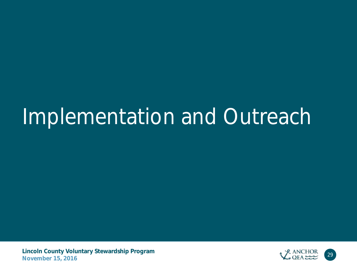# Implementation and Outreach

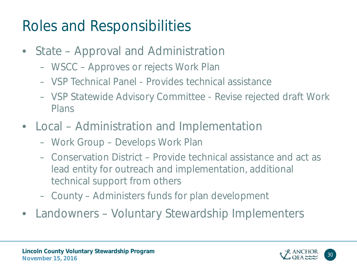### Roles and Responsibilities

- State Approval and Administration
	- WSCC Approves or rejects Work Plan
	- VSP Technical Panel Provides technical assistance
	- VSP Statewide Advisory Committee Revise rejected draft Work Plans
- Local Administration and Implementation
	- Work Group Develops Work Plan
	- Conservation District Provide technical assistance and act as lead entity for outreach and implementation, additional technical support from others
	- County Administers funds for plan development
- Landowners Voluntary Stewardship Implementers

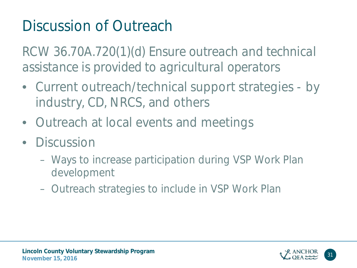# Discussion of Outreach

*RCW 36.70A.720(1)(d) Ensure outreach and technical assistance is provided to agricultural operators*

- Current outreach/technical support strategies by industry, CD, NRCS, and others
- Outreach at local events and meetings
- Discussion
	- Ways to increase participation during VSP Work Plan development
	- Outreach strategies to include in VSP Work Plan

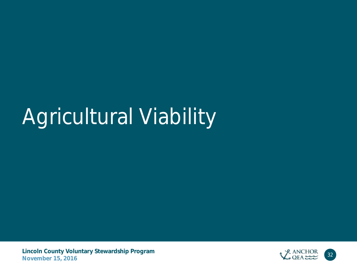# Agricultural Viability

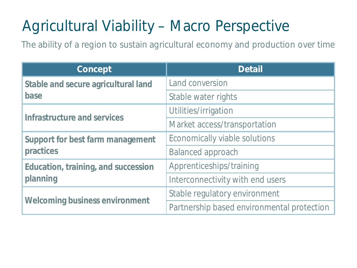# Agricultural Viability – Macro Perspective

The ability of a region to sustain agricultural economy and production over time

| Concept                                    | <b>Detail</b>                              |  |  |
|--------------------------------------------|--------------------------------------------|--|--|
| <b>Stable and secure agricultural land</b> | <b>Land conversion</b>                     |  |  |
| base                                       | Stable water rights                        |  |  |
| Infrastructure and services                | Utilities/irrigation                       |  |  |
|                                            | Market access/transportation               |  |  |
| Support for best farm management           | Economically viable solutions              |  |  |
| practices                                  | <b>Balanced approach</b>                   |  |  |
| Education, training, and succession        | Apprenticeships/training                   |  |  |
| planning                                   | Interconnectivity with end users           |  |  |
|                                            | Stable regulatory environment              |  |  |
| <b>Welcoming business environment</b>      | Partnership based environmental protection |  |  |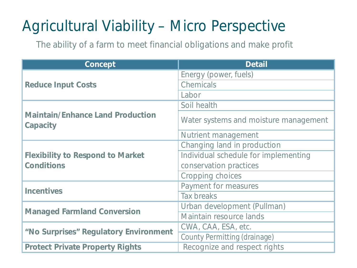### Agricultural Viability – Micro Perspective

The ability of a farm to meet financial obligations and make profit

| Concept                                             | <b>Detail</b>                         |
|-----------------------------------------------------|---------------------------------------|
|                                                     | Energy (power, fuels)                 |
| <b>Reduce Input Costs</b>                           | <b>Chemicals</b>                      |
|                                                     | Labor                                 |
|                                                     | Soil health                           |
| <b>Maintain/Enhance Land Production</b><br>Capacity | Water systems and moisture management |
|                                                     | Nutrient management                   |
|                                                     | Changing land in production           |
| <b>Flexibility to Respond to Market</b>             | Individual schedule for implementing  |
| <b>Conditions</b>                                   | conservation practices                |
|                                                     | Cropping choices                      |
| <b>Incentives</b>                                   | Payment for measures                  |
|                                                     | Tax breaks                            |
| <b>Managed Farmland Conversion</b>                  | Urban development (Pullman)           |
|                                                     | Maintain resource lands               |
| "No Surprises" Regulatory Environment               | CWA, CAA, ESA, etc.                   |
|                                                     | County Permitting (drainage)          |
| <b>Protect Private Property Rights</b>              | Recognize and respect rights          |
|                                                     |                                       |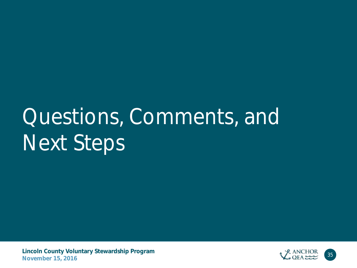# Questions, Comments, and Next Steps